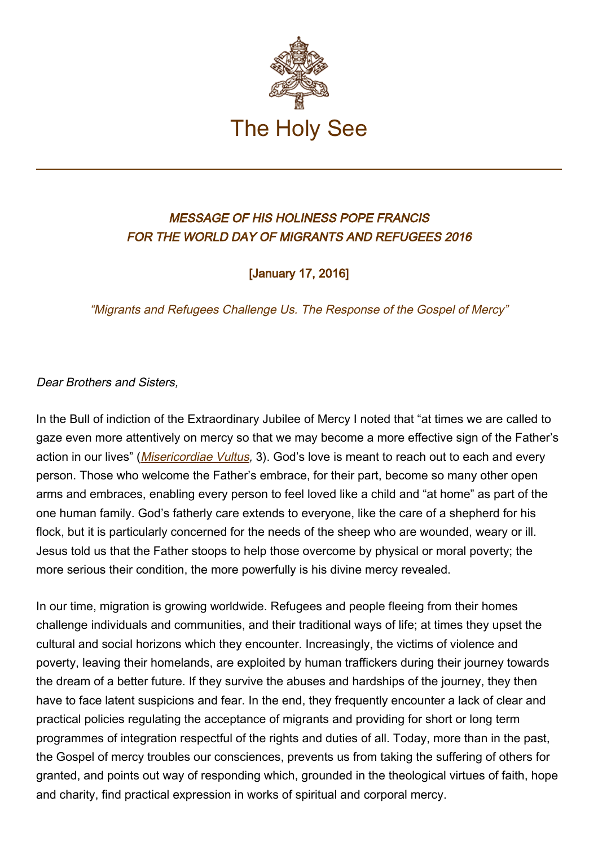

## MESSAGE OF HIS HOLINESS POPE FRANCIS FOR THE WORLD DAY OF MIGRANTS AND REFUGEES 2016

[January 17, 2016]

"Migrants and Refugees Challenge Us. The Response of the Gospel of Mercy"

## Dear Brothers and Sisters.

In the Bull of indiction of the Extraordinary Jubilee of Mercy I noted that "at times we are called to gaze even more attentively on mercy so that we may become a more effective sign of the Father's action in our lives" ([Misericordiae Vultus](http://w2.vatican.va/content/francesco/en/bulls/documents/papa-francesco_bolla_20150411_misericordiae-vultus.html), 3). God's love is meant to reach out to each and every person. Those who welcome the Father's embrace, for their part, become so many other open arms and embraces, enabling every person to feel loved like a child and "at home" as part of the one human family. God's fatherly care extends to everyone, like the care of a shepherd for his flock, but it is particularly concerned for the needs of the sheep who are wounded, weary or ill. Jesus told us that the Father stoops to help those overcome by physical or moral poverty; the more serious their condition, the more powerfully is his divine mercy revealed.

In our time, migration is growing worldwide. Refugees and people fleeing from their homes challenge individuals and communities, and their traditional ways of life; at times they upset the cultural and social horizons which they encounter. Increasingly, the victims of violence and poverty, leaving their homelands, are exploited by human traffickers during their journey towards the dream of a better future. If they survive the abuses and hardships of the journey, they then have to face latent suspicions and fear. In the end, they frequently encounter a lack of clear and practical policies regulating the acceptance of migrants and providing for short or long term programmes of integration respectful of the rights and duties of all. Today, more than in the past, the Gospel of mercy troubles our consciences, prevents us from taking the suffering of others for granted, and points out way of responding which, grounded in the theological virtues of faith, hope and charity, find practical expression in works of spiritual and corporal mercy.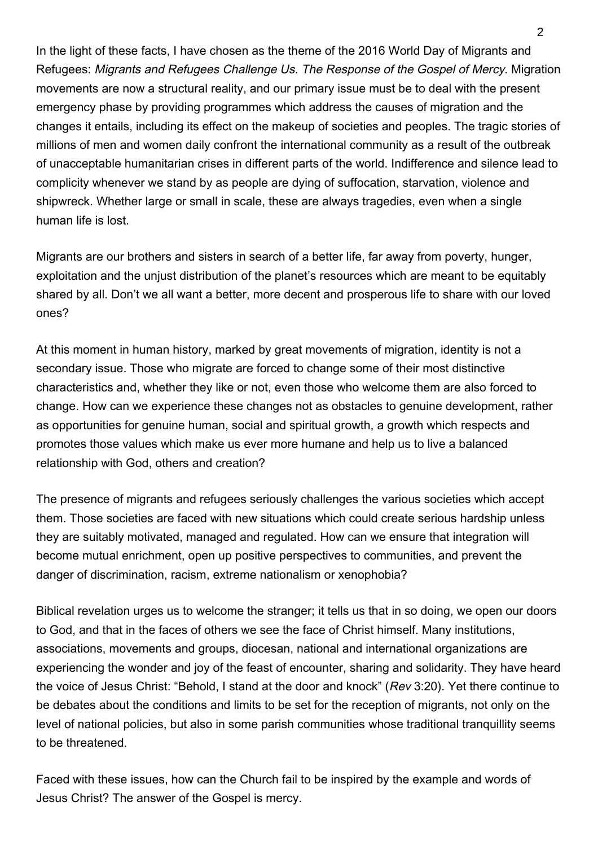In the light of these facts, I have chosen as the theme of the 2016 World Day of Migrants and Refugees: Migrants and Refugees Challenge Us. The Response of the Gospel of Mercy. Migration movements are now a structural reality, and our primary issue must be to deal with the present emergency phase by providing programmes which address the causes of migration and the changes it entails, including its effect on the makeup of societies and peoples. The tragic stories of millions of men and women daily confront the international community as a result of the outbreak of unacceptable humanitarian crises in different parts of the world. Indifference and silence lead to complicity whenever we stand by as people are dying of suffocation, starvation, violence and shipwreck. Whether large or small in scale, these are always tragedies, even when a single human life is lost.

Migrants are our brothers and sisters in search of a better life, far away from poverty, hunger, exploitation and the unjust distribution of the planet's resources which are meant to be equitably shared by all. Don't we all want a better, more decent and prosperous life to share with our loved ones?

At this moment in human history, marked by great movements of migration, identity is not a secondary issue. Those who migrate are forced to change some of their most distinctive characteristics and, whether they like or not, even those who welcome them are also forced to change. How can we experience these changes not as obstacles to genuine development, rather as opportunities for genuine human, social and spiritual growth, a growth which respects and promotes those values which make us ever more humane and help us to live a balanced relationship with God, others and creation?

The presence of migrants and refugees seriously challenges the various societies which accept them. Those societies are faced with new situations which could create serious hardship unless they are suitably motivated, managed and regulated. How can we ensure that integration will become mutual enrichment, open up positive perspectives to communities, and prevent the danger of discrimination, racism, extreme nationalism or xenophobia?

Biblical revelation urges us to welcome the stranger; it tells us that in so doing, we open our doors to God, and that in the faces of others we see the face of Christ himself. Many institutions, associations, movements and groups, diocesan, national and international organizations are experiencing the wonder and joy of the feast of encounter, sharing and solidarity. They have heard the voice of Jesus Christ: "Behold, I stand at the door and knock" (Rev 3:20). Yet there continue to be debates about the conditions and limits to be set for the reception of migrants, not only on the level of national policies, but also in some parish communities whose traditional tranquillity seems to be threatened.

Faced with these issues, how can the Church fail to be inspired by the example and words of Jesus Christ? The answer of the Gospel is mercy.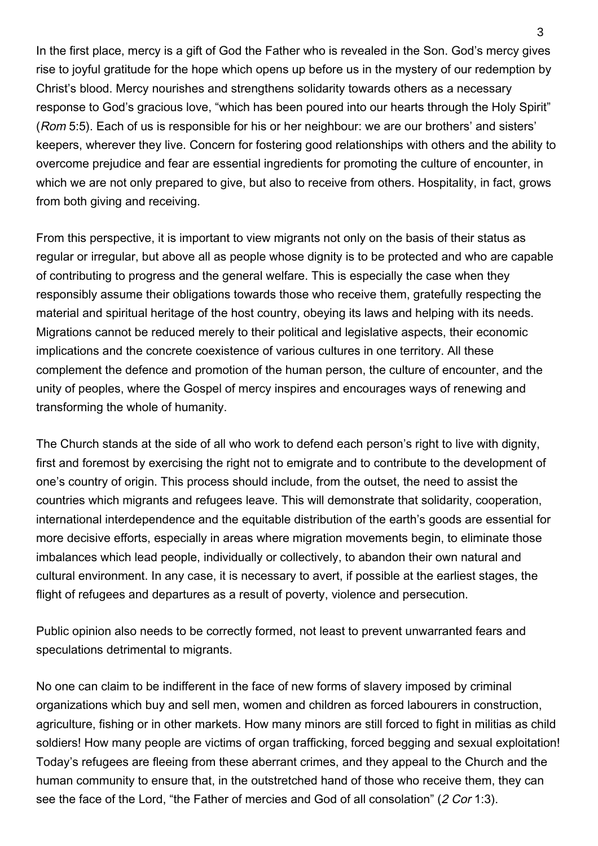In the first place, mercy is a gift of God the Father who is revealed in the Son. God's mercy gives rise to joyful gratitude for the hope which opens up before us in the mystery of our redemption by Christ's blood. Mercy nourishes and strengthens solidarity towards others as a necessary response to God's gracious love, "which has been poured into our hearts through the Holy Spirit" (Rom 5:5). Each of us is responsible for his or her neighbour: we are our brothers' and sisters' keepers, wherever they live. Concern for fostering good relationships with others and the ability to overcome prejudice and fear are essential ingredients for promoting the culture of encounter, in which we are not only prepared to give, but also to receive from others. Hospitality, in fact, grows from both giving and receiving.

From this perspective, it is important to view migrants not only on the basis of their status as regular or irregular, but above all as people whose dignity is to be protected and who are capable of contributing to progress and the general welfare. This is especially the case when they responsibly assume their obligations towards those who receive them, gratefully respecting the material and spiritual heritage of the host country, obeying its laws and helping with its needs. Migrations cannot be reduced merely to their political and legislative aspects, their economic implications and the concrete coexistence of various cultures in one territory. All these complement the defence and promotion of the human person, the culture of encounter, and the unity of peoples, where the Gospel of mercy inspires and encourages ways of renewing and transforming the whole of humanity.

The Church stands at the side of all who work to defend each person's right to live with dignity, first and foremost by exercising the right not to emigrate and to contribute to the development of one's country of origin. This process should include, from the outset, the need to assist the countries which migrants and refugees leave. This will demonstrate that solidarity, cooperation, international interdependence and the equitable distribution of the earth's goods are essential for more decisive efforts, especially in areas where migration movements begin, to eliminate those imbalances which lead people, individually or collectively, to abandon their own natural and cultural environment. In any case, it is necessary to avert, if possible at the earliest stages, the flight of refugees and departures as a result of poverty, violence and persecution.

Public opinion also needs to be correctly formed, not least to prevent unwarranted fears and speculations detrimental to migrants.

No one can claim to be indifferent in the face of new forms of slavery imposed by criminal organizations which buy and sell men, women and children as forced labourers in construction, agriculture, fishing or in other markets. How many minors are still forced to fight in militias as child soldiers! How many people are victims of organ trafficking, forced begging and sexual exploitation! Today's refugees are fleeing from these aberrant crimes, and they appeal to the Church and the human community to ensure that, in the outstretched hand of those who receive them, they can see the face of the Lord, "the Father of mercies and God of all consolation" (2 Cor 1:3).